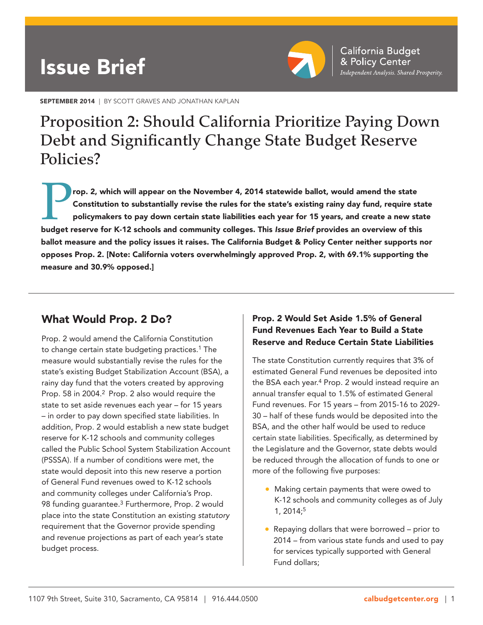# Issue Brief



SEPTEMBER 2014 | BY SCOTT GRAVES AND JONATHAN KAPLAN

## Proposition 2: Should California Prioritize Paying Down Debt and Significantly Change State Budget Reserve Policies?

rop. 2, which will appear on the November 4, 2014 statewide ballot, would amend the state Constitution to substantially revise the rules for the state's existing rainy day fund, require state policymakers to pay down certain state liabilities each year for 15 years, and create a new state budget reserve for K-12 schools and community colleges. This *Issue Brief* provides an overview of this ballot measure and the policy issues it raises. The California Budget & Policy Center neither supports nor opposes Prop. 2. [Note: California voters overwhelmingly approved Prop. 2, with 69.1% supporting the measure and 30.9% opposed.]

## What Would Prop. 2 Do?

Prop. 2 would amend the California Constitution to change certain state budgeting practices.<sup>1</sup> The measure would substantially revise the rules for the state's existing Budget Stabilization Account (BSA), a rainy day fund that the voters created by approving Prop. 58 in 2004.<sup>2</sup> Prop. 2 also would require the state to set aside revenues each year – for 15 years – in order to pay down specified state liabilities. In addition, Prop. 2 would establish a new state budget reserve for K-12 schools and community colleges called the Public School System Stabilization Account (PSSSA). If a number of conditions were met, the state would deposit into this new reserve a portion of General Fund revenues owed to K-12 schools and community colleges under California's Prop. 98 funding guarantee.<sup>3</sup> Furthermore, Prop. 2 would place into the state Constitution an existing *statutory* requirement that the Governor provide spending and revenue projections as part of each year's state budget process.

## Prop. 2 Would Set Aside 1.5% of General Fund Revenues Each Year to Build a State Reserve and Reduce Certain State Liabilities

The state Constitution currently requires that 3% of estimated General Fund revenues be deposited into the BSA each year.<sup>4</sup> Prop. 2 would instead require an annual transfer equal to 1.5% of estimated General Fund revenues. For 15 years – from 2015-16 to 2029- 30 – half of these funds would be deposited into the BSA, and the other half would be used to reduce certain state liabilities. Specifically, as determined by the Legislature and the Governor, state debts would be reduced through the allocation of funds to one or more of the following five purposes:

- Making certain payments that were owed to K-12 schools and community colleges as of July 1, 2014;5
- Repaying dollars that were borrowed prior to 2014 – from various state funds and used to pay for services typically supported with General Fund dollars;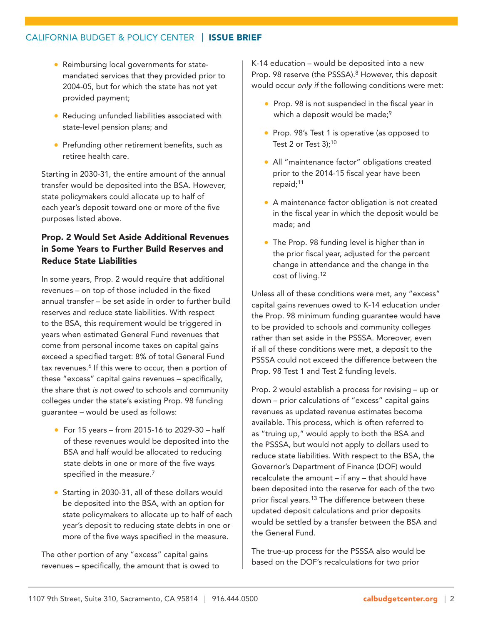- Reimbursing local governments for statemandated services that they provided prior to 2004-05, but for which the state has not yet provided payment;
- Reducing unfunded liabilities associated with state-level pension plans; and
- Prefunding other retirement benefits, such as retiree health care.

Starting in 2030-31, the entire amount of the annual transfer would be deposited into the BSA. However, state policymakers could allocate up to half of each year's deposit toward one or more of the five purposes listed above.

## Prop. 2 Would Set Aside Additional Revenues in Some Years to Further Build Reserves and Reduce State Liabilities

In some years, Prop. 2 would require that additional revenues – on top of those included in the fixed annual transfer – be set aside in order to further build reserves and reduce state liabilities. With respect to the BSA, this requirement would be triggered in years when estimated General Fund revenues that come from personal income taxes on capital gains exceed a specified target: 8% of total General Fund tax revenues.<sup>6</sup> If this were to occur, then a portion of these "excess" capital gains revenues – specifically, the share that *is not owed* to schools and community colleges under the state's existing Prop. 98 funding guarantee – would be used as follows:

- For 15 years from 2015-16 to 2029-30 half of these revenues would be deposited into the BSA and half would be allocated to reducing state debts in one or more of the five ways specified in the measure.<sup>7</sup>
- Starting in 2030-31, all of these dollars would be deposited into the BSA, with an option for state policymakers to allocate up to half of each year's deposit to reducing state debts in one or more of the five ways specified in the measure.

The other portion of any "excess" capital gains revenues – specifically, the amount that is owed to K-14 education – would be deposited into a new Prop. 98 reserve (the PSSSA).<sup>8</sup> However, this deposit would occur *only if* the following conditions were met:

- Prop. 98 is not suspended in the fiscal year in which a deposit would be made;<sup>9</sup>
- Prop. 98's Test 1 is operative (as opposed to Test 2 or Test  $3$ );<sup>10</sup>
- All "maintenance factor" obligations created prior to the 2014-15 fiscal year have been repaid;<sup>11</sup>
- A maintenance factor obligation is not created in the fiscal year in which the deposit would be made; and
- The Prop. 98 funding level is higher than in the prior fiscal year, adjusted for the percent change in attendance and the change in the cost of living.12

Unless all of these conditions were met, any "excess" capital gains revenues owed to K-14 education under the Prop. 98 minimum funding guarantee would have to be provided to schools and community colleges rather than set aside in the PSSSA. Moreover, even if all of these conditions were met, a deposit to the PSSSA could not exceed the difference between the Prop. 98 Test 1 and Test 2 funding levels.

Prop. 2 would establish a process for revising – up or down – prior calculations of "excess" capital gains revenues as updated revenue estimates become available. This process, which is often referred to as "truing up," would apply to both the BSA and the PSSSA, but would not apply to dollars used to reduce state liabilities. With respect to the BSA, the Governor's Department of Finance (DOF) would recalculate the amount – if any – that should have been deposited into the reserve for each of the two prior fiscal years.<sup>13</sup> The difference between these updated deposit calculations and prior deposits would be settled by a transfer between the BSA and the General Fund.

The true-up process for the PSSSA also would be based on the DOF's recalculations for two prior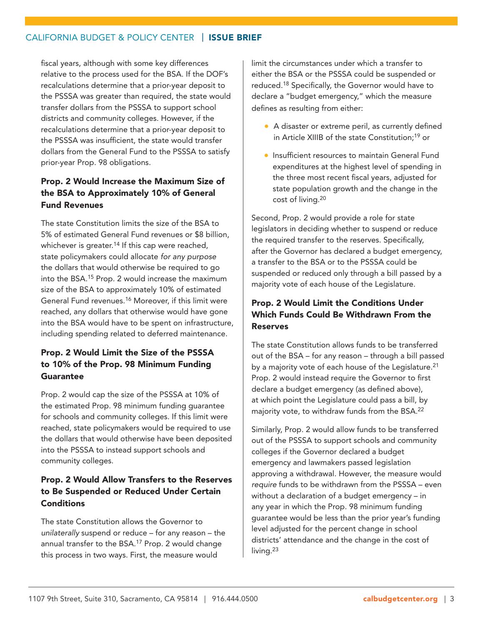fiscal years, although with some key differences relative to the process used for the BSA. If the DOF's recalculations determine that a prior-year deposit to the PSSSA was greater than required, the state would transfer dollars from the PSSSA to support school districts and community colleges. However, if the recalculations determine that a prior-year deposit to the PSSSA was insufficient, the state would transfer dollars from the General Fund to the PSSSA to satisfy prior-year Prop. 98 obligations.

## Prop. 2 Would Increase the Maximum Size of the BSA to Approximately 10% of General Fund Revenues

The state Constitution limits the size of the BSA to 5% of estimated General Fund revenues or \$8 billion, whichever is greater.<sup>14</sup> If this cap were reached, state policymakers could allocate *for any purpose* the dollars that would otherwise be required to go into the BSA.15 Prop. 2 would increase the maximum size of the BSA to approximately 10% of estimated General Fund revenues.16 Moreover, if this limit were reached, any dollars that otherwise would have gone into the BSA would have to be spent on infrastructure, including spending related to deferred maintenance.

## Prop. 2 Would Limit the Size of the PSSSA to 10% of the Prop. 98 Minimum Funding **Guarantee**

Prop. 2 would cap the size of the PSSSA at 10% of the estimated Prop. 98 minimum funding guarantee for schools and community colleges. If this limit were reached, state policymakers would be required to use the dollars that would otherwise have been deposited into the PSSSA to instead support schools and community colleges.

## Prop. 2 Would Allow Transfers to the Reserves to Be Suspended or Reduced Under Certain **Conditions**

The state Constitution allows the Governor to *unilaterally* suspend or reduce – for any reason – the annual transfer to the BSA.<sup>17</sup> Prop. 2 would change this process in two ways. First, the measure would

limit the circumstances under which a transfer to either the BSA or the PSSSA could be suspended or reduced.18 Specifically, the Governor would have to declare a "budget emergency," which the measure defines as resulting from either:

- A disaster or extreme peril, as currently defined in Article XIIIB of the state Constitution;19 or
- Insufficient resources to maintain General Fund expenditures at the highest level of spending in the three most recent fiscal years, adjusted for state population growth and the change in the cost of living.20

Second, Prop. 2 would provide a role for state legislators in deciding whether to suspend or reduce the required transfer to the reserves. Specifically, after the Governor has declared a budget emergency, a transfer to the BSA or to the PSSSA could be suspended or reduced only through a bill passed by a majority vote of each house of the Legislature.

## Prop. 2 Would Limit the Conditions Under Which Funds Could Be Withdrawn From the Reserves

The state Constitution allows funds to be transferred out of the BSA – for any reason – through a bill passed by a majority vote of each house of the Legislature.<sup>21</sup> Prop. 2 would instead require the Governor to first declare a budget emergency (as defined above), at which point the Legislature could pass a bill, by majority vote, to withdraw funds from the BSA.22

Similarly, Prop. 2 would allow funds to be transferred out of the PSSSA to support schools and community colleges if the Governor declared a budget emergency and lawmakers passed legislation approving a withdrawal. However, the measure would *require* funds to be withdrawn from the PSSSA – even without a declaration of a budget emergency – in any year in which the Prop. 98 minimum funding guarantee would be less than the prior year's funding level adjusted for the percent change in school districts' attendance and the change in the cost of living.<sup>23</sup>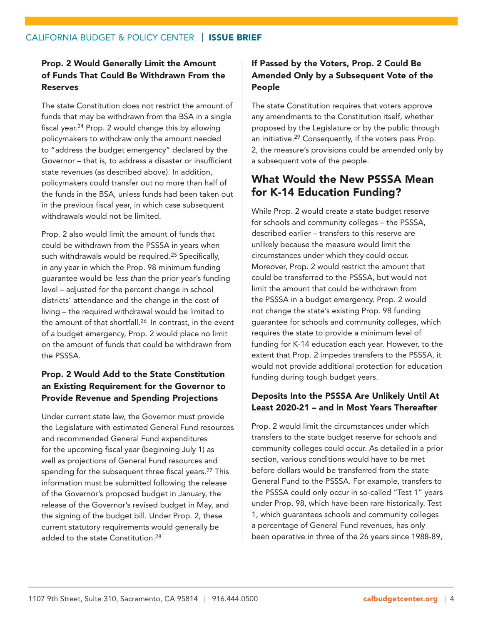## Prop. 2 Would Generally Limit the Amount of Funds That Could Be Withdrawn From the Reserves

The state Constitution does not restrict the amount of funds that may be withdrawn from the BSA in a single fiscal year.<sup>24</sup> Prop. 2 would change this by allowing policymakers to withdraw only the amount needed to "address the budget emergency" declared by the Governor – that is, to address a disaster or insufficient state revenues (as described above). In addition, policymakers could transfer out no more than half of the funds in the BSA, unless funds had been taken out in the previous fiscal year, in which case subsequent withdrawals would not be limited.

Prop. 2 also would limit the amount of funds that could be withdrawn from the PSSSA in years when such withdrawals would be required.<sup>25</sup> Specifically, in any year in which the Prop. 98 minimum funding guarantee would be *less than* the prior year's funding level – adjusted for the percent change in school districts' attendance and the change in the cost of living – the required withdrawal would be limited to the amount of that shortfall.<sup>26</sup> In contrast, in the event of a budget emergency, Prop. 2 would place no limit on the amount of funds that could be withdrawn from the PSSSA.

## Prop. 2 Would Add to the State Constitution an Existing Requirement for the Governor to Provide Revenue and Spending Projections

Under current state law, the Governor must provide the Legislature with estimated General Fund resources and recommended General Fund expenditures for the upcoming fiscal year (beginning July 1) as well as projections of General Fund resources and spending for the subsequent three fiscal years.<sup>27</sup> This information must be submitted following the release of the Governor's proposed budget in January, the release of the Governor's revised budget in May, and the signing of the budget bill. Under Prop. 2, these current statutory requirements would generally be added to the state Constitution.<sup>28</sup>

## If Passed by the Voters, Prop. 2 Could Be Amended Only by a Subsequent Vote of the People

The state Constitution requires that voters approve any amendments to the Constitution itself, whether proposed by the Legislature or by the public through an initiative.29 Consequently, if the voters pass Prop. 2, the measure's provisions could be amended only by a subsequent vote of the people.

## What Would the New PSSSA Mean for K-14 Education Funding?

While Prop. 2 would create a state budget reserve for schools and community colleges – the PSSSA, described earlier – transfers to this reserve are unlikely because the measure would limit the circumstances under which they could occur. Moreover, Prop. 2 would restrict the amount that could be transferred to the PSSSA, but would not limit the amount that could be withdrawn from the PSSSA in a budget emergency. Prop. 2 would not change the state's existing Prop. 98 funding guarantee for schools and community colleges, which requires the state to provide a minimum level of funding for K-14 education each year. However, to the extent that Prop. 2 impedes transfers to the PSSSA, it would not provide additional protection for education funding during tough budget years.

## Deposits Into the PSSSA Are Unlikely Until At Least 2020-21 – and in Most Years Thereafter

Prop. 2 would limit the circumstances under which transfers to the state budget reserve for schools and community colleges could occur. As detailed in a prior section, various conditions would have to be met before dollars would be transferred from the state General Fund to the PSSSA. For example, transfers to the PSSSA could only occur in so-called "Test 1" years under Prop. 98, which have been rare historically. Test 1, which guarantees schools and community colleges a percentage of General Fund revenues, has only been operative in three of the 26 years since 1988-89,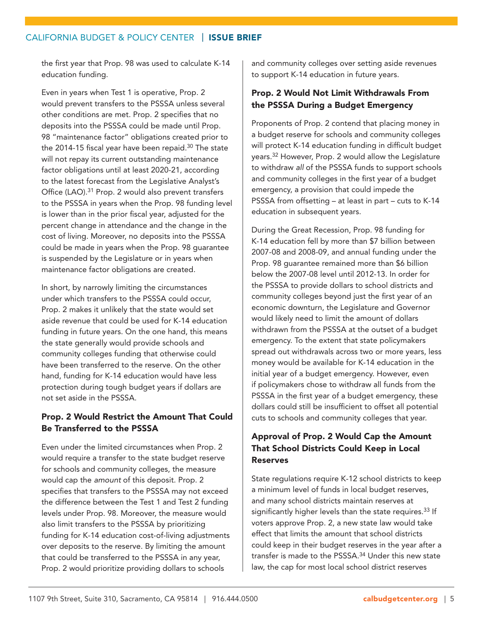the first year that Prop. 98 was used to calculate K-14 education funding.

Even in years when Test 1 is operative, Prop. 2 would prevent transfers to the PSSSA unless several other conditions are met. Prop. 2 specifies that no deposits into the PSSSA could be made until Prop. 98 "maintenance factor" obligations created prior to the 2014-15 fiscal year have been repaid. $30$  The state will not repay its current outstanding maintenance factor obligations until at least 2020-21, according to the latest forecast from the Legislative Analyst's Office (LAO).<sup>31</sup> Prop. 2 would also prevent transfers to the PSSSA in years when the Prop. 98 funding level is lower than in the prior fiscal year, adjusted for the percent change in attendance and the change in the cost of living. Moreover, no deposits into the PSSSA could be made in years when the Prop. 98 guarantee is suspended by the Legislature or in years when maintenance factor obligations are created.

In short, by narrowly limiting the circumstances under which transfers to the PSSSA could occur, Prop. 2 makes it unlikely that the state would set aside revenue that could be used for K-14 education funding in future years. On the one hand, this means the state generally would provide schools and community colleges funding that otherwise could have been transferred to the reserve. On the other hand, funding for K-14 education would have less protection during tough budget years if dollars are not set aside in the PSSSA.

## Prop. 2 Would Restrict the Amount That Could Be Transferred to the PSSSA

Even under the limited circumstances when Prop. 2 would require a transfer to the state budget reserve for schools and community colleges, the measure would cap the *amount* of this deposit. Prop. 2 specifies that transfers to the PSSSA may not exceed the difference between the Test 1 and Test 2 funding levels under Prop. 98. Moreover, the measure would also limit transfers to the PSSSA by prioritizing funding for K-14 education cost-of-living adjustments over deposits to the reserve. By limiting the amount that could be transferred to the PSSSA in any year, Prop. 2 would prioritize providing dollars to schools

and community colleges over setting aside revenues to support K-14 education in future years.

## Prop. 2 Would Not Limit Withdrawals From the PSSSA During a Budget Emergency

Proponents of Prop. 2 contend that placing money in a budget reserve for schools and community colleges will protect K-14 education funding in difficult budget years.32 However, Prop. 2 would allow the Legislature to withdraw *all* of the PSSSA funds to support schools and community colleges in the first year of a budget emergency, a provision that could impede the PSSSA from offsetting – at least in part – cuts to K-14 education in subsequent years.

During the Great Recession, Prop. 98 funding for K-14 education fell by more than \$7 billion between 2007-08 and 2008-09, and annual funding under the Prop. 98 guarantee remained more than \$6 billion below the 2007-08 level until 2012-13. In order for the PSSSA to provide dollars to school districts and community colleges beyond just the first year of an economic downturn, the Legislature and Governor would likely need to limit the amount of dollars withdrawn from the PSSSA at the outset of a budget emergency. To the extent that state policymakers spread out withdrawals across two or more years, less money would be available for K-14 education in the initial year of a budget emergency. However, even if policymakers chose to withdraw all funds from the PSSSA in the first year of a budget emergency, these dollars could still be insufficient to offset all potential cuts to schools and community colleges that year.

## Approval of Prop. 2 Would Cap the Amount That School Districts Could Keep in Local Reserves

State regulations require K-12 school districts to keep a minimum level of funds in local budget reserves, and many school districts maintain reserves at significantly higher levels than the state requires.<sup>33</sup> If voters approve Prop. 2, a new state law would take effect that limits the amount that school districts could keep in their budget reserves in the year after a transfer is made to the PSSSA.34 Under this new state law, the cap for most local school district reserves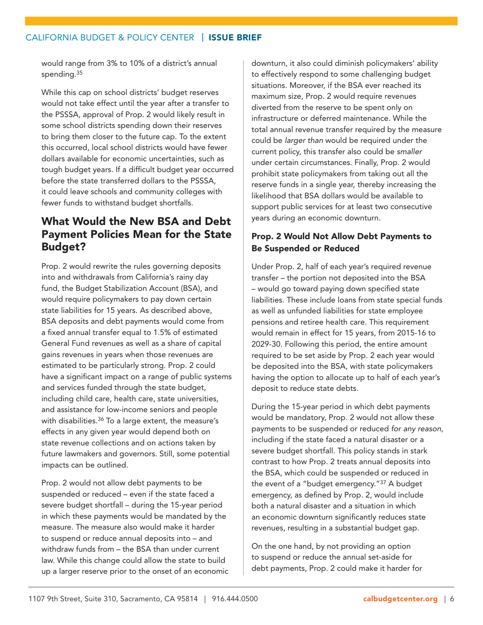would range from 3% to 10% of a district's annual spending.<sup>35</sup>

While this cap on school districts' budget reserves would not take effect until the year after a transfer to the PSSSA, approval of Prop. 2 would likely result in some school districts spending down their reserves to bring them closer to the future cap. To the extent this occurred, local school districts would have fewer dollars available for economic uncertainties, such as tough budget years. If a difficult budget year occurred before the state transferred dollars to the PSSSA, it could leave schools and community colleges with fewer funds to withstand budget shortfalls.

## What Would the New BSA and Debt Payment Policies Mean for the State Budget?

Prop. 2 would rewrite the rules governing deposits into and withdrawals from California's rainy day fund, the Budget Stabilization Account (BSA), and would require policymakers to pay down certain state liabilities for 15 years. As described above, BSA deposits and debt payments would come from a fixed annual transfer equal to 1.5% of estimated General Fund revenues as well as a share of capital gains revenues in years when those revenues are estimated to be particularly strong. Prop. 2 could have a significant impact on a range of public systems and services funded through the state budget, including child care, health care, state universities, and assistance for low-income seniors and people with disabilities.<sup>36</sup> To a large extent, the measure's effects in any given year would depend both on state revenue collections and on actions taken by future lawmakers and governors. Still, some potential impacts can be outlined.

Prop. 2 would not allow debt payments to be suspended or reduced – even if the state faced a severe budget shortfall – during the 15-year period in which these payments would be mandated by the measure. The measure also would make it harder to suspend or reduce annual deposits into – and withdraw funds from – the BSA than under current law. While this change could allow the state to build up a larger reserve prior to the onset of an economic downturn, it also could diminish policymakers' ability to effectively respond to some challenging budget situations. Moreover, if the BSA ever reached its maximum size, Prop. 2 would require revenues diverted from the reserve to be spent only on infrastructure or deferred maintenance. While the total annual revenue transfer required by the measure could be *larger than* would be required under the current policy, this transfer also could be *smaller* under certain circumstances. Finally, Prop. 2 would prohibit state policymakers from taking out all the reserve funds in a single year, thereby increasing the likelihood that BSA dollars would be available to support public services for at least two consecutive years during an economic downturn.

## Prop. 2 Would Not Allow Debt Payments to Be Suspended or Reduced

Under Prop. 2, half of each year's required revenue transfer – the portion not deposited into the BSA – would go toward paying down specified state liabilities. These include loans from state special funds as well as unfunded liabilities for state employee pensions and retiree health care. This requirement would remain in effect for 15 years, from 2015-16 to 2029-30. Following this period, the entire amount required to be set aside by Prop. 2 each year would be deposited into the BSA, with state policymakers having the option to allocate up to half of each year's deposit to reduce state debts.

During the 15-year period in which debt payments would be mandatory, Prop. 2 would not allow these payments to be suspended or reduced *for any reason*, including if the state faced a natural disaster or a severe budget shortfall. This policy stands in stark contrast to how Prop. 2 treats annual deposits into the BSA, which could be suspended or reduced in the event of a "budget emergency."37 A budget emergency, as defined by Prop. 2, would include both a natural disaster and a situation in which an economic downturn significantly reduces state revenues, resulting in a substantial budget gap.

On the one hand, by not providing an option to suspend or reduce the annual set-aside for debt payments, Prop. 2 could make it harder for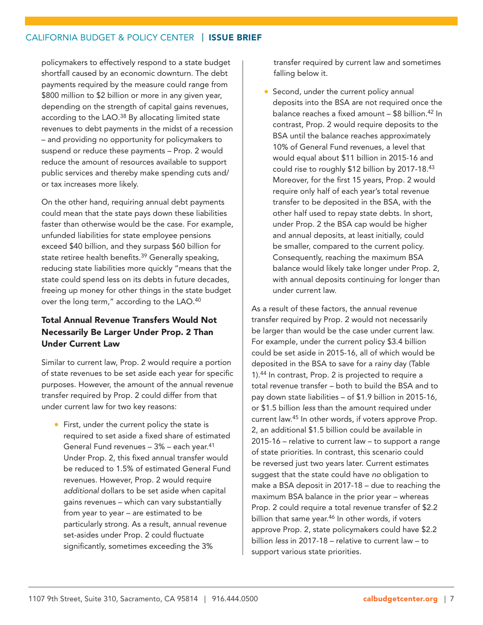policymakers to effectively respond to a state budget shortfall caused by an economic downturn. The debt payments required by the measure could range from \$800 million to \$2 billion or more in any given year, depending on the strength of capital gains revenues, according to the LAO.<sup>38</sup> By allocating limited state revenues to debt payments in the midst of a recession – and providing no opportunity for policymakers to suspend or reduce these payments – Prop. 2 would reduce the amount of resources available to support public services and thereby make spending cuts and/ or tax increases more likely.

On the other hand, requiring annual debt payments could mean that the state pays down these liabilities faster than otherwise would be the case. For example, unfunded liabilities for state employee pensions exceed \$40 billion, and they surpass \$60 billion for state retiree health benefits.<sup>39</sup> Generally speaking, reducing state liabilities more quickly "means that the state could spend less on its debts in future decades, freeing up money for other things in the state budget over the long term," according to the LAO.40

## Total Annual Revenue Transfers Would Not Necessarily Be Larger Under Prop. 2 Than Under Current Law

Similar to current law, Prop. 2 would require a portion of state revenues to be set aside each year for specific purposes. However, the amount of the annual revenue transfer required by Prop. 2 could differ from that under current law for two key reasons:

• First, under the current policy the state is required to set aside a fixed share of estimated General Fund revenues – 3% – each year.41 Under Prop. 2, this fixed annual transfer would be reduced to 1.5% of estimated General Fund revenues. However, Prop. 2 would require *additional* dollars to be set aside when capital gains revenues – which can vary substantially from year to year – are estimated to be particularly strong. As a result, annual revenue set-asides under Prop. 2 could fluctuate significantly, sometimes exceeding the 3%

transfer required by current law and sometimes falling below it.

• Second, under the current policy annual deposits into the BSA are not required once the balance reaches a fixed amount – \$8 billion.42 In contrast, Prop. 2 would require deposits to the BSA until the balance reaches approximately 10% of General Fund revenues, a level that would equal about \$11 billion in 2015-16 and could rise to roughly \$12 billion by 2017-18.43 Moreover, for the first 15 years, Prop. 2 would require only half of each year's total revenue transfer to be deposited in the BSA, with the other half used to repay state debts. In short, under Prop. 2 the BSA cap would be higher and annual deposits, at least initially, could be smaller, compared to the current policy. Consequently, reaching the maximum BSA balance would likely take longer under Prop. 2, with annual deposits continuing for longer than under current law.

As a result of these factors, the annual revenue transfer required by Prop. 2 would not necessarily be larger than would be the case under current law. For example, under the current policy \$3.4 billion could be set aside in 2015-16, all of which would be deposited in the BSA to save for a rainy day (Table 1).44 In contrast, Prop. 2 is projected to require a total revenue transfer – both to build the BSA and to pay down state liabilities – of \$1.9 billion in 2015-16, or \$1.5 billion *less* than the amount required under current law.45 In other words, if voters approve Prop. 2, an additional \$1.5 billion could be available in 2015-16 – relative to current law – to support a range of state priorities. In contrast, this scenario could be reversed just two years later. Current estimates suggest that the state could have *no* obligation to make a BSA deposit in 2017-18 – due to reaching the maximum BSA balance in the prior year – whereas Prop. 2 could require a total revenue transfer of \$2.2 billion that same year.<sup>46</sup> In other words, if voters approve Prop. 2, state policymakers could have \$2.2 billion *less* in 2017-18 – relative to current law – to support various state priorities.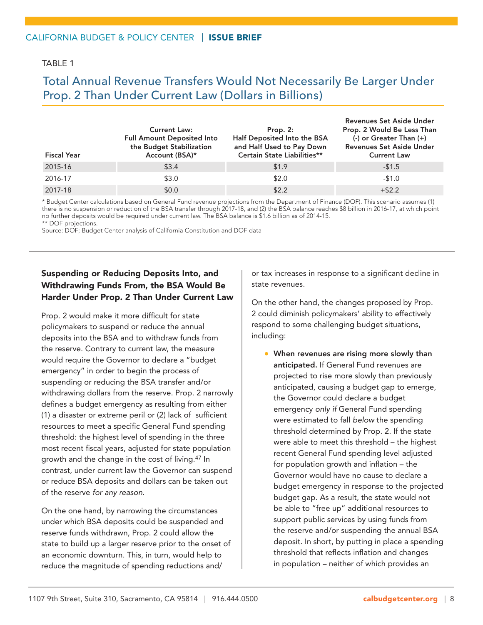### TARI F 1

## Total Annual Revenue Transfers Would Not Necessarily Be Larger Under Prop. 2 Than Under Current Law (Dollars in Billions)

| <b>Fiscal Year</b> | <b>Current Law:</b><br><b>Full Amount Deposited Into</b><br>the Budget Stabilization<br>Account (BSA)* | Prop. $2:$<br>Half Deposited Into the BSA<br>and Half Used to Pay Down<br>Certain State Liabilities** | Revenues Set Aside Under<br>Prop. 2 Would Be Less Than<br>(-) or Greater Than (+)<br>Revenues Set Aside Under<br><b>Current Law</b> |
|--------------------|--------------------------------------------------------------------------------------------------------|-------------------------------------------------------------------------------------------------------|-------------------------------------------------------------------------------------------------------------------------------------|
| 2015-16            | \$3.4                                                                                                  | \$1.9                                                                                                 | $-51.5$                                                                                                                             |
| 2016-17            | \$3.0                                                                                                  | \$2.0                                                                                                 | $-51.0$                                                                                                                             |
| 2017-18            | \$0.0                                                                                                  | \$2.2                                                                                                 | $+ $2.2$                                                                                                                            |

\* Budget Center calculations based on General Fund revenue projections from the Department of Finance (DOF). This scenario assumes (1) there is no suspension or reduction of the BSA transfer through 2017-18, and (2) the BSA balance reaches \$8 billion in 2016-17, at which point no further deposits would be required under current law. The BSA balance is \$1.6 billion as of 2014-15. \*\* DOF projections.

Source: DOF; Budget Center analysis of California Constitution and DOF data

## Suspending or Reducing Deposits Into, and Withdrawing Funds From, the BSA Would Be Harder Under Prop. 2 Than Under Current Law

Prop. 2 would make it more difficult for state policymakers to suspend or reduce the annual deposits into the BSA and to withdraw funds from the reserve. Contrary to current law, the measure would require the Governor to declare a "budget emergency" in order to begin the process of suspending or reducing the BSA transfer and/or withdrawing dollars from the reserve. Prop. 2 narrowly defines a budget emergency as resulting from either (1) a disaster or extreme peril or (2) lack of sufficient resources to meet a specific General Fund spending threshold: the highest level of spending in the three most recent fiscal years, adjusted for state population growth and the change in the cost of living.47 In contrast, under current law the Governor can suspend or reduce BSA deposits and dollars can be taken out of the reserve *for any reason*.

On the one hand, by narrowing the circumstances under which BSA deposits could be suspended and reserve funds withdrawn, Prop. 2 could allow the state to build up a larger reserve prior to the onset of an economic downturn. This, in turn, would help to reduce the magnitude of spending reductions and/

or tax increases in response to a significant decline in state revenues.

On the other hand, the changes proposed by Prop. 2 could diminish policymakers' ability to effectively respond to some challenging budget situations, including:

• When revenues are rising more slowly than anticipated. If General Fund revenues are projected to rise more slowly than previously anticipated, causing a budget gap to emerge, the Governor could declare a budget emergency *only if* General Fund spending were estimated to fall *below* the spending threshold determined by Prop. 2. If the state were able to meet this threshold – the highest recent General Fund spending level adjusted for population growth and inflation – the Governor would have no cause to declare a budget emergency in response to the projected budget gap. As a result, the state would not be able to "free up" additional resources to support public services by using funds from the reserve and/or suspending the annual BSA deposit. In short, by putting in place a spending threshold that reflects inflation and changes in population – neither of which provides an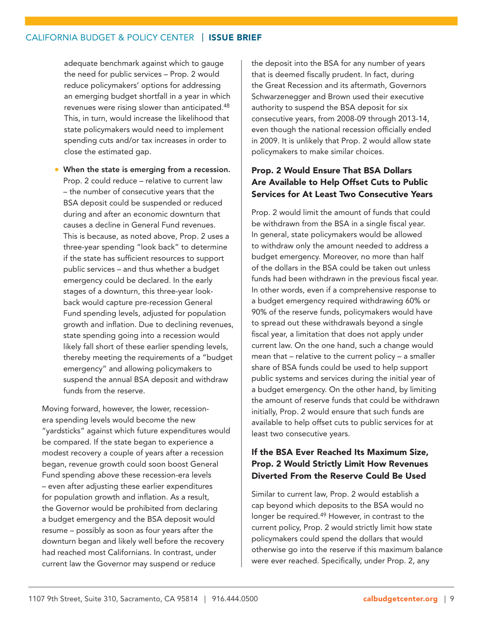adequate benchmark against which to gauge the need for public services – Prop. 2 would reduce policymakers' options for addressing an emerging budget shortfall in a year in which revenues were rising slower than anticipated.<sup>48</sup> This, in turn, would increase the likelihood that state policymakers would need to implement spending cuts and/or tax increases in order to close the estimated gap.

• When the state is emerging from a recession. Prop. 2 could reduce – relative to current law – the number of consecutive years that the BSA deposit could be suspended or reduced during and after an economic downturn that causes a decline in General Fund revenues. This is because, as noted above, Prop. 2 uses a three-year spending "look back" to determine if the state has sufficient resources to support public services – and thus whether a budget emergency could be declared. In the early stages of a downturn, this three-year lookback would capture pre-recession General Fund spending levels, adjusted for population growth and inflation. Due to declining revenues, state spending going into a recession would likely fall short of these earlier spending levels, thereby meeting the requirements of a "budget emergency" and allowing policymakers to suspend the annual BSA deposit and withdraw funds from the reserve.

Moving forward, however, the lower, recessionera spending levels would become the new "yardsticks" against which future expenditures would be compared. If the state began to experience a modest recovery a couple of years after a recession began, revenue growth could soon boost General Fund spending *above* these recession-era levels – even after adjusting these earlier expenditures for population growth and inflation. As a result, the Governor would be prohibited from declaring a budget emergency and the BSA deposit would resume – possibly as soon as four years after the downturn began and likely well before the recovery had reached most Californians. In contrast, under current law the Governor may suspend or reduce

the deposit into the BSA for any number of years that is deemed fiscally prudent. In fact, during the Great Recession and its aftermath, Governors Schwarzenegger and Brown used their executive authority to suspend the BSA deposit for six consecutive years, from 2008-09 through 2013-14, even though the national recession officially ended in 2009. It is unlikely that Prop. 2 would allow state policymakers to make similar choices.

## Prop. 2 Would Ensure That BSA Dollars Are Available to Help Offset Cuts to Public Services for At Least Two Consecutive Years

Prop. 2 would limit the amount of funds that could be withdrawn from the BSA in a single fiscal year. In general, state policymakers would be allowed to withdraw only the amount needed to address a budget emergency. Moreover, no more than half of the dollars in the BSA could be taken out unless funds had been withdrawn in the previous fiscal year. In other words, even if a comprehensive response to a budget emergency required withdrawing 60% or 90% of the reserve funds, policymakers would have to spread out these withdrawals beyond a single fiscal year, a limitation that does not apply under current law. On the one hand, such a change would mean that – relative to the current policy – a smaller share of BSA funds could be used to help support public systems and services during the initial year of a budget emergency. On the other hand, by limiting the amount of reserve funds that could be withdrawn initially, Prop. 2 would ensure that such funds are available to help offset cuts to public services for at least two consecutive years.

## If the BSA Ever Reached Its Maximum Size, Prop. 2 Would Strictly Limit How Revenues Diverted From the Reserve Could Be Used

Similar to current law, Prop. 2 would establish a cap beyond which deposits to the BSA would no longer be required.49 However, in contrast to the current policy, Prop. 2 would strictly limit how state policymakers could spend the dollars that would otherwise go into the reserve if this maximum balance were ever reached. Specifically, under Prop. 2, any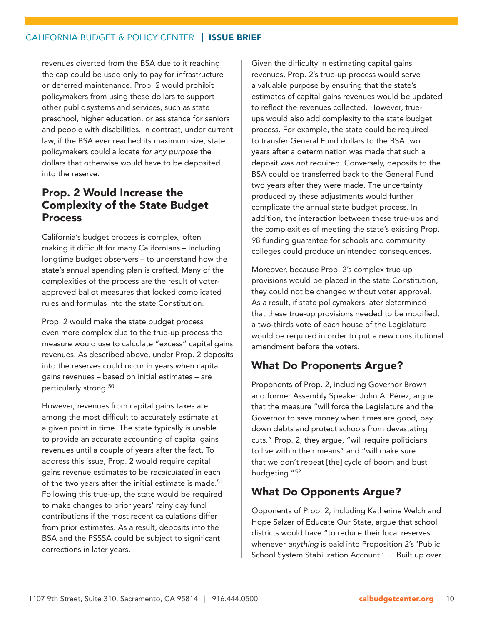revenues diverted from the BSA due to it reaching the cap could be used only to pay for infrastructure or deferred maintenance. Prop. 2 would prohibit policymakers from using these dollars to support other public systems and services, such as state preschool, higher education, or assistance for seniors and people with disabilities. In contrast, under current law, if the BSA ever reached its maximum size, state policymakers could allocate *for any purpose* the dollars that otherwise would have to be deposited into the reserve.

## Prop. 2 Would Increase the Complexity of the State Budget Process

California's budget process is complex, often making it difficult for many Californians – including longtime budget observers – to understand how the state's annual spending plan is crafted. Many of the complexities of the process are the result of voterapproved ballot measures that locked complicated rules and formulas into the state Constitution.

Prop. 2 would make the state budget process even more complex due to the true-up process the measure would use to calculate "excess" capital gains revenues. As described above, under Prop. 2 deposits into the reserves could occur in years when capital gains revenues – based on initial estimates – are particularly strong.50

However, revenues from capital gains taxes are among the most difficult to accurately estimate at a given point in time. The state typically is unable to provide an accurate accounting of capital gains revenues until a couple of years after the fact. To address this issue, Prop. 2 would require capital gains revenue estimates to be *recalculated* in each of the two years after the initial estimate is made.<sup>51</sup> Following this true-up, the state would be required to make changes to prior years' rainy day fund contributions if the most recent calculations differ from prior estimates. As a result, deposits into the BSA and the PSSSA could be subject to significant corrections in later years.

Given the difficulty in estimating capital gains revenues, Prop. 2's true-up process would serve a valuable purpose by ensuring that the state's estimates of capital gains revenues would be updated to reflect the revenues collected. However, trueups would also add complexity to the state budget process. For example, the state could be required to transfer General Fund dollars to the BSA two years after a determination was made that such a deposit was *not* required. Conversely, deposits to the BSA could be transferred back to the General Fund two years after they were made. The uncertainty produced by these adjustments would further complicate the annual state budget process. In addition, the interaction between these true-ups and the complexities of meeting the state's existing Prop. 98 funding guarantee for schools and community colleges could produce unintended consequences.

Moreover, because Prop. 2's complex true-up provisions would be placed in the state Constitution, they could not be changed without voter approval. As a result, if state policymakers later determined that these true-up provisions needed to be modified, a two-thirds vote of each house of the Legislature would be required in order to put a new constitutional amendment before the voters.

## What Do Proponents Argue?

Proponents of Prop. 2, including Governor Brown and former Assembly Speaker John A. Pérez, argue that the measure "will force the Legislature and the Governor to save money when times are good, pay down debts and protect schools from devastating cuts." Prop. 2, they argue, "will require politicians to live within their means" and "will make sure that we don't repeat [the] cycle of boom and bust budgeting."52

## What Do Opponents Argue?

Opponents of Prop. 2, including Katherine Welch and Hope Salzer of Educate Our State, argue that school districts would have "to reduce their local reserves whenever *anything* is paid into Proposition 2's 'Public School System Stabilization Account.' … Built up over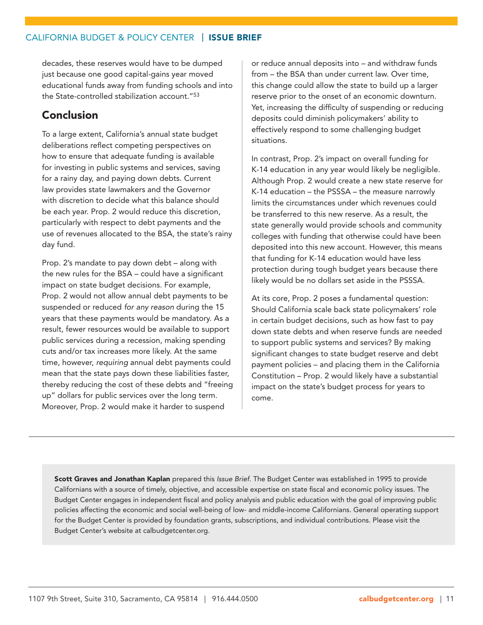decades, these reserves would have to be dumped just because one good capital-gains year moved educational funds away from funding schools and into the State-controlled stabilization account."53

## Conclusion

To a large extent, California's annual state budget deliberations reflect competing perspectives on how to ensure that adequate funding is available for investing in public systems and services, saving for a rainy day, and paying down debts. Current law provides state lawmakers and the Governor with discretion to decide what this balance should be each year. Prop. 2 would reduce this discretion, particularly with respect to debt payments and the use of revenues allocated to the BSA, the state's rainy day fund.

Prop. 2's mandate to pay down debt – along with the new rules for the BSA – could have a significant impact on state budget decisions. For example, Prop. 2 would not allow annual debt payments to be suspended or reduced *for any reason* during the 15 years that these payments would be mandatory. As a result, fewer resources would be available to support public services during a recession, making spending cuts and/or tax increases more likely. At the same time, however, *requiring* annual debt payments could mean that the state pays down these liabilities faster, thereby reducing the cost of these debts and "freeing up" dollars for public services over the long term. Moreover, Prop. 2 would make it harder to suspend

or reduce annual deposits into – and withdraw funds from – the BSA than under current law. Over time, this change could allow the state to build up a larger reserve prior to the onset of an economic downturn. Yet, increasing the difficulty of suspending or reducing deposits could diminish policymakers' ability to effectively respond to some challenging budget situations.

In contrast, Prop. 2's impact on overall funding for K-14 education in any year would likely be negligible. Although Prop. 2 would create a new state reserve for K-14 education – the PSSSA – the measure narrowly limits the circumstances under which revenues could be transferred to this new reserve. As a result, the state generally would provide schools and community colleges with funding that otherwise could have been deposited into this new account. However, this means that funding for K-14 education would have less protection during tough budget years because there likely would be no dollars set aside in the PSSSA.

At its core, Prop. 2 poses a fundamental question: Should California scale back state policymakers' role in certain budget decisions, such as how fast to pay down state debts and when reserve funds are needed to support public systems and services? By making significant changes to state budget reserve and debt payment policies – and placing them in the California Constitution – Prop. 2 would likely have a substantial impact on the state's budget process for years to come.

Scott Graves and Jonathan Kaplan prepared this *Issue Brief*. The Budget Center was established in 1995 to provide Californians with a source of timely, objective, and accessible expertise on state fiscal and economic policy issues. The Budget Center engages in independent fiscal and policy analysis and public education with the goal of improving public policies affecting the economic and social well-being of low- and middle-income Californians. General operating support for the Budget Center is provided by foundation grants, subscriptions, and individual contributions. Please visit the Budget Center's website at calbudgetcenter.org.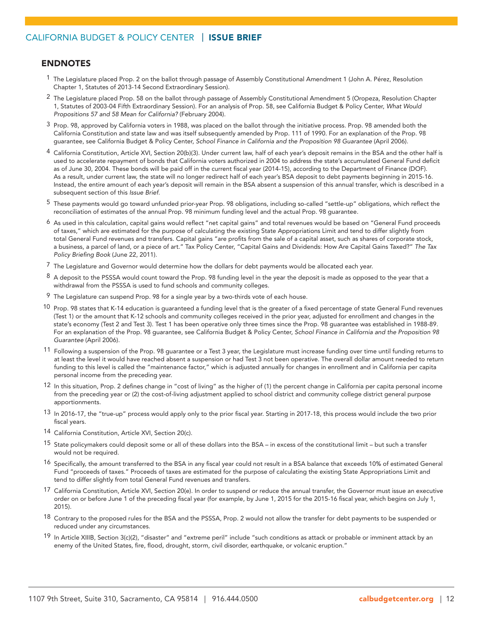#### ENDNOTES

- 1 The Legislature placed Prop. 2 on the ballot through passage of Assembly Constitutional Amendment 1 (John A. Pérez, Resolution Chapter 1, Statutes of 2013-14 Second Extraordinary Session).
- 2 The Legislature placed Prop. 58 on the ballot through passage of Assembly Constitutional Amendment 5 (Oropeza, Resolution Chapter 1, Statutes of 2003-04 Fifth Extraordinary Session). For an analysis of Prop. 58, see California Budget & Policy Center, *What Would Propositions 57 and 58 Mean for California?* (February 2004).
- $3$  Prop. 98, approved by California voters in 1988, was placed on the ballot through the initiative process. Prop. 98 amended both the California Constitution and state law and was itself subsequently amended by Prop. 111 of 1990. For an explanation of the Prop. 98 guarantee, see California Budget & Policy Center, *School Finance in California and the Proposition 98 Guarantee* (April 2006).
- 4 California Constitution, Article XVI, Section 20(b)(3). Under current law, half of each year's deposit remains in the BSA and the other half is used to accelerate repayment of bonds that California voters authorized in 2004 to address the state's accumulated General Fund deficit as of June 30, 2004. These bonds will be paid off in the current fiscal year (2014-15), according to the Department of Finance (DOF). As a result, under current law, the state will no longer redirect half of each year's BSA deposit to debt payments beginning in 2015-16. Instead, the entire amount of each year's deposit will remain in the BSA absent a suspension of this annual transfer, which is described in a subsequent section of this *Issue Brief*.
- 5 These payments would go toward unfunded prior-year Prop. 98 obligations, including so-called "settle-up" obligations, which reflect the reconciliation of estimates of the annual Prop. 98 minimum funding level and the actual Prop. 98 guarantee.
- $^6$  As used in this calculation, capital gains would reflect "net capital gains" and total revenues would be based on "General Fund proceeds of taxes," which are estimated for the purpose of calculating the existing State Appropriations Limit and tend to differ slightly from total General Fund revenues and transfers. Capital gains "are profits from the sale of a capital asset, such as shares of corporate stock, a business, a parcel of land, or a piece of art." Tax Policy Center, "Capital Gains and Dividends: How Are Capital Gains Taxed?" *The Tax Policy Briefing Book* (June 22, 2011).
- 7 The Legislature and Governor would determine how the dollars for debt payments would be allocated each year.
- $8$  A deposit to the PSSSA would count toward the Prop. 98 funding level in the year the deposit is made as opposed to the year that a withdrawal from the PSSSA is used to fund schools and community colleges.
- 9 The Legislature can suspend Prop. 98 for a single year by a two-thirds vote of each house.
- 10 Prop. 98 states that K-14 education is guaranteed a funding level that is the greater of a fixed percentage of state General Fund revenues (Test 1) or the amount that K-12 schools and community colleges received in the prior year, adjusted for enrollment and changes in the state's economy (Test 2 and Test 3). Test 1 has been operative only three times since the Prop. 98 guarantee was established in 1988-89. For an explanation of the Prop. 98 guarantee, see California Budget & Policy Center, *School Finance in California and the Proposition 98 Guarantee* (April 2006).
- 11 Following a suspension of the Prop. 98 guarantee or a Test 3 year, the Legislature must increase funding over time until funding returns to at least the level it would have reached absent a suspension or had Test 3 not been operative. The overall dollar amount needed to return funding to this level is called the "maintenance factor," which is adjusted annually for changes in enrollment and in California per capita personal income from the preceding year.
- 12 In this situation, Prop. 2 defines change in "cost of living" as the higher of (1) the percent change in California per capita personal income from the preceding year or (2) the cost-of-living adjustment applied to school district and community college district general purpose apportionments.
- 13 In 2016-17, the "true-up" process would apply only to the prior fiscal year. Starting in 2017-18, this process would include the two prior fiscal years.
- 14 California Constitution, Article XVI, Section 20(c).
- 15 State policymakers could deposit some or all of these dollars into the BSA in excess of the constitutional limit but such a transfer would not be required.
- 16 Specifically, the amount transferred to the BSA in any fiscal year could not result in a BSA balance that exceeds 10% of estimated General Fund "proceeds of taxes." Proceeds of taxes are estimated for the purpose of calculating the existing State Appropriations Limit and tend to differ slightly from total General Fund revenues and transfers.
- 17 California Constitution, Article XVI, Section 20(e). In order to suspend or reduce the annual transfer, the Governor must issue an executive order on or before June 1 of the preceding fiscal year (for example, by June 1, 2015 for the 2015-16 fiscal year, which begins on July 1, 2015).
- 18 Contrary to the proposed rules for the BSA and the PSSSA, Prop. 2 would not allow the transfer for debt payments to be suspended or reduced under any circumstances.
- 19 In Article XIIIB, Section 3(c)(2), "disaster" and "extreme peril" include "such conditions as attack or probable or imminent attack by an enemy of the United States, fire, flood, drought, storm, civil disorder, earthquake, or volcanic eruption."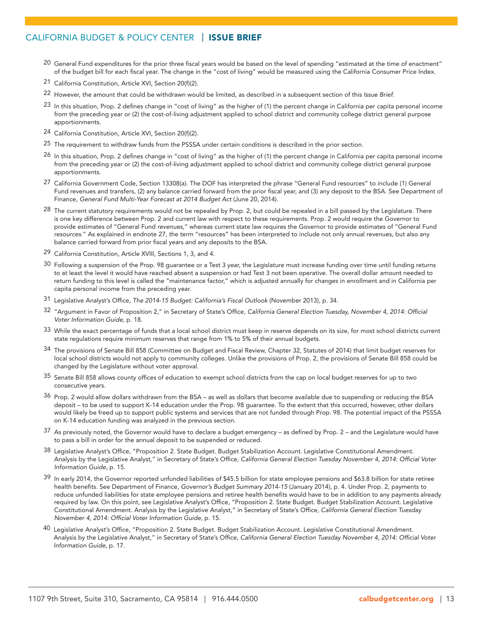- <sup>20</sup> General Fund expenditures for the prior three fiscal years would be based on the level of spending "estimated at the time of enactment" of the budget bill for each fiscal year. The change in the "cost of living" would be measured using the California Consumer Price Index.
- 21 California Constitution, Article XVI, Section 20(f)(2).
- 22 However, the amount that could be withdrawn would be limited, as described in a subsequent section of this *Issue Brief*.
- 23 In this situation, Prop. 2 defines change in "cost of living" as the higher of (1) the percent change in California per capita personal income from the preceding year or (2) the cost-of-living adjustment applied to school district and community college district general purpose apportionments.
- 24 California Constitution, Article XVI, Section 20(f)(2).
- 25 The requirement to withdraw funds from the PSSSA under certain conditions is described in the prior section.
- 26 In this situation, Prop. 2 defines change in "cost of living" as the higher of (1) the percent change in California per capita personal income from the preceding year or (2) the cost-of-living adjustment applied to school district and community college district general purpose apportionments.
- 27 California Government Code, Section 13308(a). The DOF has interpreted the phrase "General Fund resources" to include (1) General Fund revenues and transfers, (2) any balance carried forward from the prior fiscal year, and (3) any deposit to the BSA. See Department of Finance, *General Fund Multi-Year Forecast at 2014 Budget Act* (June 20, 2014).
- 28 The current statutory requirements would not be repealed by Prop. 2, but could be repealed in a bill passed by the Legislature. There is one key difference between Prop. 2 and current law with respect to these requirements. Prop. 2 would require the Governor to provide estimates of "General Fund *revenues*," whereas current state law requires the Governor to provide estimates of "General Fund *resources*." As explained in endnote 27, the term "resources" has been interpreted to include not only annual revenues, but also any balance carried forward from prior fiscal years and any deposits to the BSA.
- 29 California Constitution, Article XVIII, Sections 1, 3, and 4.
- 30 Following a suspension of the Prop. 98 guarantee or a Test 3 year, the Legislature must increase funding over time until funding returns to at least the level it would have reached absent a suspension or had Test 3 not been operative. The overall dollar amount needed to return funding to this level is called the "maintenance factor," which is adjusted annually for changes in enrollment and in California per capita personal income from the preceding year.
- 31 Legislative Analyst's Office, *The 2014-15 Budget: California's Fiscal Outlook* (November 2013), p. 34.
- 32 "Argument in Favor of Proposition 2," in Secretary of State's Office, *California General Election Tuesday, November 4, 2014: Official Voter Information Guide*, p. 18.
- 33 While the exact percentage of funds that a local school district must keep in reserve depends on its size, for most school districts current state regulations require minimum reserves that range from 1% to 5% of their annual budgets.
- 34 The provisions of Senate Bill 858 (Committee on Budget and Fiscal Review, Chapter 32, Statutes of 2014) that limit budget reserves for local school districts would not apply to community colleges. Unlike the provisions of Prop. 2, the provisions of Senate Bill 858 could be changed by the Legislature without voter approval.
- 35 Senate Bill 858 allows county offices of education to exempt school districts from the cap on local budget reserves for up to two consecutive years.
- 36 Prop. 2 would allow dollars withdrawn from the BSA as well as dollars that become available due to suspending or reducing the BSA deposit – to be used to support K-14 education under the Prop. 98 guarantee. To the extent that this occurred, however, other dollars would likely be freed up to support public systems and services that are not funded through Prop. 98. The potential impact of the PSSSA on K-14 education funding was analyzed in the previous section.
- 37 As previously noted, the Governor would have to declare a budget emergency as defined by Prop. 2 and the Legislature would have to pass a bill in order for the annual deposit to be suspended or reduced.
- 38 Legislative Analyst's Office, "Proposition 2. State Budget. Budget Stabilization Account. Legislative Constitutional Amendment. Analysis by the Legislative Analyst," in Secretary of State's Office, *California General Election Tuesday November 4, 2014: Official Voter Information Guide*, p. 15.
- 39 In early 2014, the Governor reported unfunded liabilities of \$45.5 billion for state employee pensions and \$63.8 billion for state retiree health benefits. See Department of Finance, *Governor's Budget Summary 2014-15* (January 2014), p. 4. Under Prop. 2, payments to reduce unfunded liabilities for state employee pensions and retiree health benefits would have to be in addition to any payments already required by law. On this point, see Legislative Analyst's Office, "Proposition 2. State Budget. Budget Stabilization Account. Legislative Constitutional Amendment. Analysis by the Legislative Analyst," in Secretary of State's Office, *California General Election Tuesday November 4, 2014: Official Voter Information Guide*, p. 15.
- 40 Legislative Analyst's Office, "Proposition 2. State Budget. Budget Stabilization Account. Legislative Constitutional Amendment. Analysis by the Legislative Analyst," in Secretary of State's Office, *California General Election Tuesday November 4, 2014: Official Voter Information Guide*, p. 17.